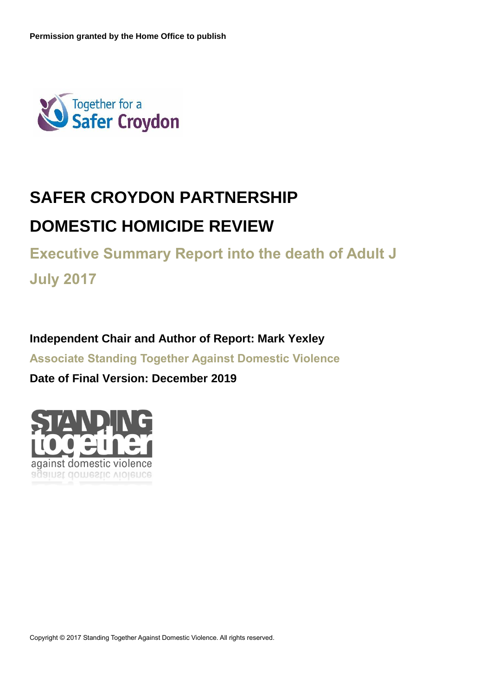

# **SAFER CROYDON PARTNERSHIP DOMESTIC HOMICIDE REVIEW**

**Executive Summary Report into the death of Adult J July 2017**

**Independent Chair and Author of Report: Mark Yexley**

**Associate Standing Together Against Domestic Violence**

**Date of Final Version: December 2019**

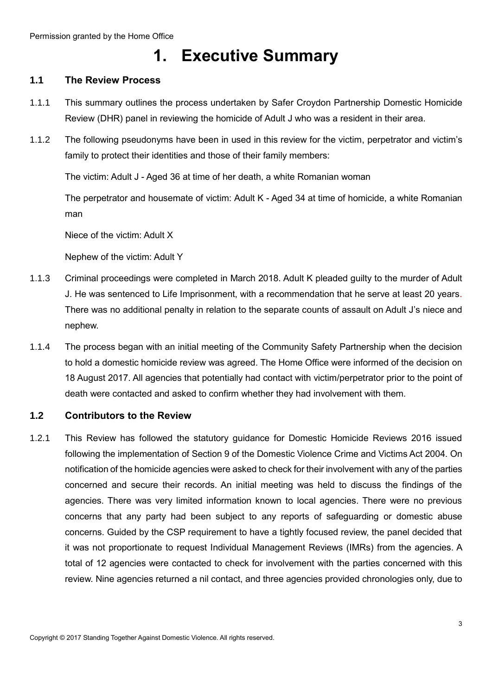## **1. Executive Summary**

### <span id="page-2-1"></span><span id="page-2-0"></span>**1.1 The Review Process**

- 1.1.1 This summary outlines the process undertaken by Safer Croydon Partnership Domestic Homicide Review (DHR) panel in reviewing the homicide of Adult J who was a resident in their area.
- 1.1.2 The following pseudonyms have been in used in this review for the victim, perpetrator and victim's family to protect their identities and those of their family members:

The victim: Adult J - Aged 36 at time of her death, a white Romanian woman

The perpetrator and housemate of victim: Adult K - Aged 34 at time of homicide, a white Romanian man

Niece of the victim: Adult X

Nephew of the victim: Adult Y

- 1.1.3 Criminal proceedings were completed in March 2018. Adult K pleaded guilty to the murder of Adult J. He was sentenced to Life Imprisonment, with a recommendation that he serve at least 20 years. There was no additional penalty in relation to the separate counts of assault on Adult J's niece and nephew.
- 1.1.4 The process began with an initial meeting of the Community Safety Partnership when the decision to hold a domestic homicide review was agreed. The Home Office were informed of the decision on 18 August 2017. All agencies that potentially had contact with victim/perpetrator prior to the point of death were contacted and asked to confirm whether they had involvement with them.

### <span id="page-2-2"></span>**1.2 Contributors to the Review**

1.2.1 This Review has followed the statutory guidance for Domestic Homicide Reviews 2016 issued following the implementation of Section 9 of the Domestic Violence Crime and Victims Act 2004. On notification of the homicide agencies were asked to check for their involvement with any of the parties concerned and secure their records. An initial meeting was held to discuss the findings of the agencies. There was very limited information known to local agencies. There were no previous concerns that any party had been subject to any reports of safeguarding or domestic abuse concerns. Guided by the CSP requirement to have a tightly focused review, the panel decided that it was not proportionate to request Individual Management Reviews (IMRs) from the agencies. A total of 12 agencies were contacted to check for involvement with the parties concerned with this review. Nine agencies returned a nil contact, and three agencies provided chronologies only, due to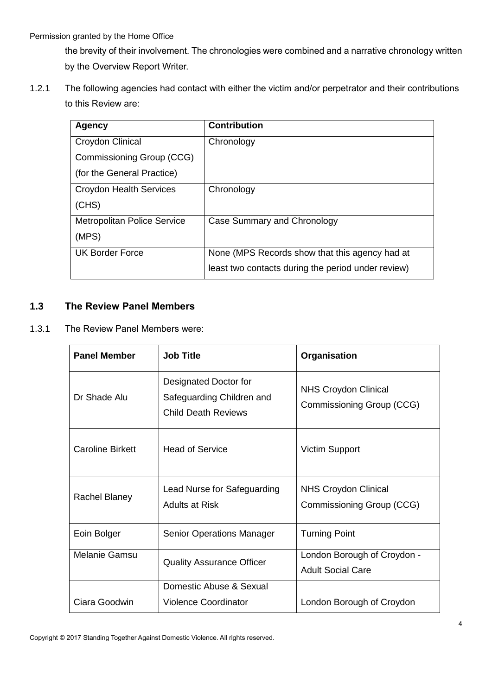the brevity of their involvement. The chronologies were combined and a narrative chronology written by the Overview Report Writer.

1.2.1 The following agencies had contact with either the victim and/or perpetrator and their contributions to this Review are:

| <b>Agency</b>                      | <b>Contribution</b>                                |
|------------------------------------|----------------------------------------------------|
| Croydon Clinical                   | Chronology                                         |
| Commissioning Group (CCG)          |                                                    |
| (for the General Practice)         |                                                    |
| <b>Croydon Health Services</b>     | Chronology                                         |
| (CHS)                              |                                                    |
| <b>Metropolitan Police Service</b> | Case Summary and Chronology                        |
| (MPS)                              |                                                    |
| <b>UK Border Force</b>             | None (MPS Records show that this agency had at     |
|                                    | least two contacts during the period under review) |

### <span id="page-3-0"></span>**1.3 The Review Panel Members**

1.3.1 The Review Panel Members were:

| <b>Panel Member</b>     | <b>Job Title</b>                                                                 | Organisation                                             |
|-------------------------|----------------------------------------------------------------------------------|----------------------------------------------------------|
| Dr Shade Alu            | Designated Doctor for<br>Safeguarding Children and<br><b>Child Death Reviews</b> | <b>NHS Croydon Clinical</b><br>Commissioning Group (CCG) |
| <b>Caroline Birkett</b> | <b>Head of Service</b>                                                           | <b>Victim Support</b>                                    |
| Rachel Blaney           | Lead Nurse for Safeguarding<br><b>Adults at Risk</b>                             | <b>NHS Croydon Clinical</b><br>Commissioning Group (CCG) |
| Eoin Bolger             | <b>Senior Operations Manager</b>                                                 | <b>Turning Point</b>                                     |
| Melanie Gamsu           | <b>Quality Assurance Officer</b>                                                 | London Borough of Croydon -<br><b>Adult Social Care</b>  |
| Ciara Goodwin           | Domestic Abuse & Sexual<br><b>Violence Coordinator</b>                           | London Borough of Croydon                                |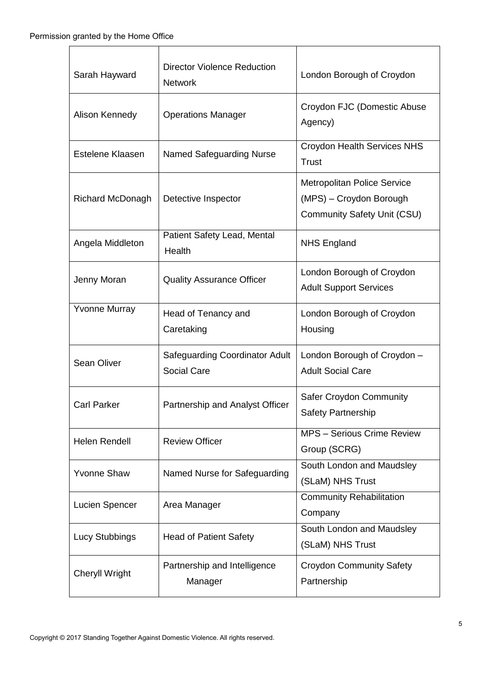| Sarah Hayward         | <b>Director Violence Reduction</b><br><b>Network</b>        | London Borough of Croydon                                                                           |
|-----------------------|-------------------------------------------------------------|-----------------------------------------------------------------------------------------------------|
| Alison Kennedy        | <b>Operations Manager</b>                                   | Croydon FJC (Domestic Abuse<br>Agency)                                                              |
| Estelene Klaasen      | Named Safeguarding Nurse                                    | <b>Croydon Health Services NHS</b><br><b>Trust</b>                                                  |
| Richard McDonagh      | Detective Inspector                                         | <b>Metropolitan Police Service</b><br>(MPS) - Croydon Borough<br><b>Community Safety Unit (CSU)</b> |
| Angela Middleton      | Patient Safety Lead, Mental<br>Health                       | <b>NHS England</b>                                                                                  |
| Jenny Moran           | <b>Quality Assurance Officer</b>                            | London Borough of Croydon<br><b>Adult Support Services</b>                                          |
| <b>Yvonne Murray</b>  | Head of Tenancy and<br>Caretaking                           | London Borough of Croydon<br>Housing                                                                |
| <b>Sean Oliver</b>    | <b>Safeguarding Coordinator Adult</b><br><b>Social Care</b> | London Borough of Croydon -<br><b>Adult Social Care</b>                                             |
| <b>Carl Parker</b>    | Partnership and Analyst Officer                             | Safer Croydon Community<br><b>Safety Partnership</b>                                                |
| <b>Helen Rendell</b>  | <b>Review Officer</b>                                       | MPS - Serious Crime Review<br>Group (SCRG)                                                          |
| <b>Yvonne Shaw</b>    | Named Nurse for Safeguarding                                | South London and Maudsley<br>(SLaM) NHS Trust                                                       |
| Lucien Spencer        | Area Manager                                                | <b>Community Rehabilitation</b><br>Company                                                          |
| Lucy Stubbings        | <b>Head of Patient Safety</b>                               | South London and Maudsley<br>(SLaM) NHS Trust                                                       |
| <b>Cheryll Wright</b> | Partnership and Intelligence<br>Manager                     | <b>Croydon Community Safety</b><br>Partnership                                                      |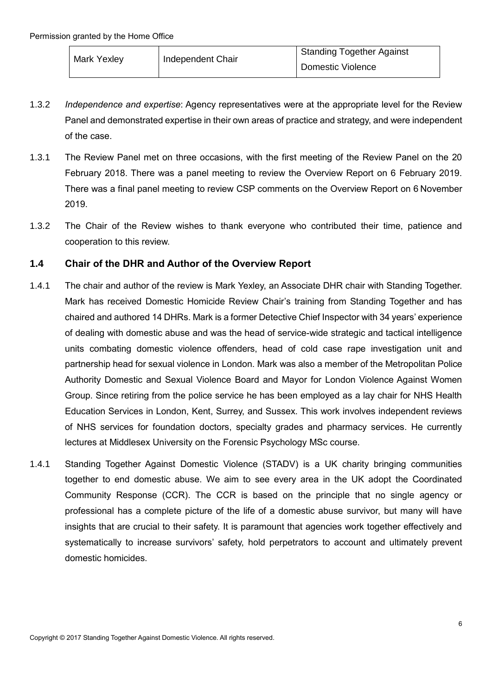| <b>Mark Yexley</b> | Independent Chair | Standing Together Against |
|--------------------|-------------------|---------------------------|
|                    |                   | Domestic Violence         |

- 1.3.2 *Independence and expertise*: Agency representatives were at the appropriate level for the Review Panel and demonstrated expertise in their own areas of practice and strategy, and were independent of the case.
- 1.3.1 The Review Panel met on three occasions, with the first meeting of the Review Panel on the 20 February 2018. There was a panel meeting to review the Overview Report on 6 February 2019. There was a final panel meeting to review CSP comments on the Overview Report on 6 November 2019.
- 1.3.2 The Chair of the Review wishes to thank everyone who contributed their time, patience and cooperation to this review.

### <span id="page-5-0"></span>**1.4 Chair of the DHR and Author of the Overview Report**

- 1.4.1 The chair and author of the review is Mark Yexley, an Associate DHR chair with Standing Together. Mark has received Domestic Homicide Review Chair's training from Standing Together and has chaired and authored 14 DHRs. Mark is a former Detective Chief Inspector with 34 years' experience of dealing with domestic abuse and was the head of service-wide strategic and tactical intelligence units combating domestic violence offenders, head of cold case rape investigation unit and partnership head for sexual violence in London. Mark was also a member of the Metropolitan Police Authority Domestic and Sexual Violence Board and Mayor for London Violence Against Women Group. Since retiring from the police service he has been employed as a lay chair for NHS Health Education Services in London, Kent, Surrey, and Sussex. This work involves independent reviews of NHS services for foundation doctors, specialty grades and pharmacy services. He currently lectures at Middlesex University on the Forensic Psychology MSc course.
- 1.4.1 Standing Together Against Domestic Violence (STADV) is a UK charity bringing communities together to end domestic abuse. We aim to see every area in the UK adopt the Coordinated Community Response (CCR). The CCR is based on the principle that no single agency or professional has a complete picture of the life of a domestic abuse survivor, but many will have insights that are crucial to their safety. It is paramount that agencies work together effectively and systematically to increase survivors' safety, hold perpetrators to account and ultimately prevent domestic homicides.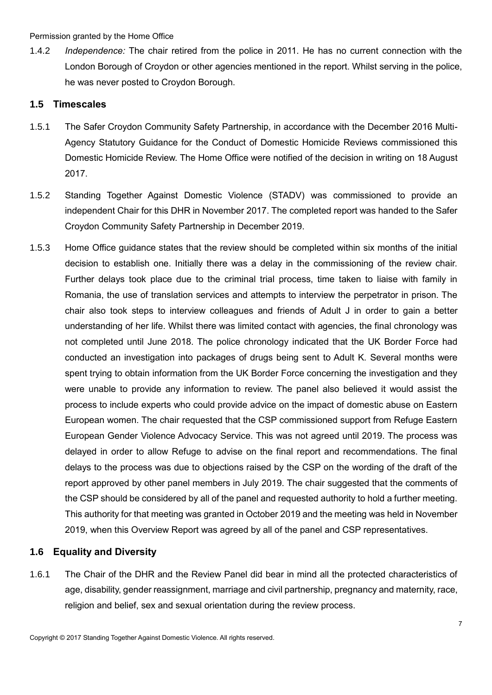1.4.2 *Independence:* The chair retired from the police in 2011. He has no current connection with the London Borough of Croydon or other agencies mentioned in the report. Whilst serving in the police, he was never posted to Croydon Borough.

### **1.5 Timescales**

- 1.5.1 The Safer Croydon Community Safety Partnership, in accordance with the December 2016 Multi-Agency Statutory Guidance for the Conduct of Domestic Homicide Reviews commissioned this Domestic Homicide Review. The Home Office were notified of the decision in writing on 18 August 2017.
- 1.5.2 Standing Together Against Domestic Violence (STADV) was commissioned to provide an independent Chair for this DHR in November 2017. The completed report was handed to the Safer Croydon Community Safety Partnership in December 2019.
- 1.5.3 Home Office guidance states that the review should be completed within six months of the initial decision to establish one. Initially there was a delay in the commissioning of the review chair. Further delays took place due to the criminal trial process, time taken to liaise with family in Romania, the use of translation services and attempts to interview the perpetrator in prison. The chair also took steps to interview colleagues and friends of Adult J in order to gain a better understanding of her life. Whilst there was limited contact with agencies, the final chronology was not completed until June 2018. The police chronology indicated that the UK Border Force had conducted an investigation into packages of drugs being sent to Adult K. Several months were spent trying to obtain information from the UK Border Force concerning the investigation and they were unable to provide any information to review. The panel also believed it would assist the process to include experts who could provide advice on the impact of domestic abuse on Eastern European women. The chair requested that the CSP commissioned support from Refuge Eastern European Gender Violence Advocacy Service. This was not agreed until 2019. The process was delayed in order to allow Refuge to advise on the final report and recommendations. The final delays to the process was due to objections raised by the CSP on the wording of the draft of the report approved by other panel members in July 2019. The chair suggested that the comments of the CSP should be considered by all of the panel and requested authority to hold a further meeting. This authority for that meeting was granted in October 2019 and the meeting was held in November 2019, when this Overview Report was agreed by all of the panel and CSP representatives.

### **1.6 Equality and Diversity**

1.6.1 The Chair of the DHR and the Review Panel did bear in mind all the protected characteristics of age, disability, gender reassignment, marriage and civil partnership, pregnancy and maternity, race, religion and belief, sex and sexual orientation during the review process.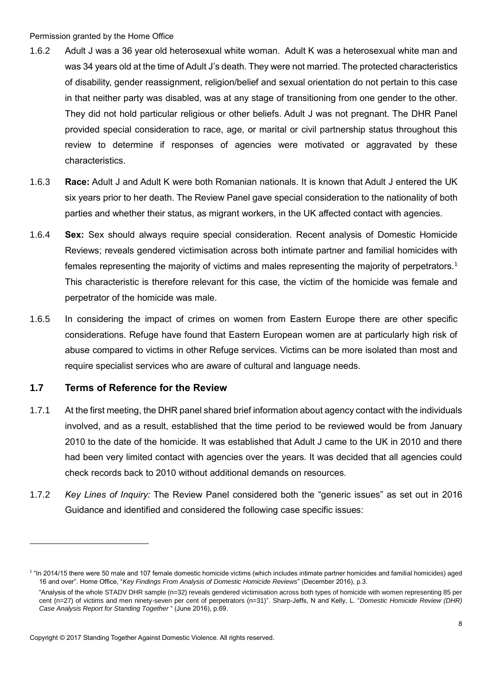- 1.6.2 Adult J was a 36 year old heterosexual white woman. Adult K was a heterosexual white man and was 34 years old at the time of Adult J's death. They were not married. The protected characteristics of disability, gender reassignment, religion/belief and sexual orientation do not pertain to this case in that neither party was disabled, was at any stage of transitioning from one gender to the other. They did not hold particular religious or other beliefs. Adult J was not pregnant. The DHR Panel provided special consideration to race, age, or marital or civil partnership status throughout this review to determine if responses of agencies were motivated or aggravated by these characteristics.
- 1.6.3 **Race:** Adult J and Adult K were both Romanian nationals. It is known that Adult J entered the UK six years prior to her death. The Review Panel gave special consideration to the nationality of both parties and whether their status, as migrant workers, in the UK affected contact with agencies.
- 1.6.4 **Sex:** Sex should always require special consideration. Recent analysis of Domestic Homicide Reviews; reveals gendered victimisation across both intimate partner and familial homicides with females representing the majority of victims and males representing the majority of perpetrators.<sup>1</sup> This characteristic is therefore relevant for this case, the victim of the homicide was female and perpetrator of the homicide was male.
- 1.6.5 In considering the impact of crimes on women from Eastern Europe there are other specific considerations. Refuge have found that Eastern European women are at particularly high risk of abuse compared to victims in other Refuge services. Victims can be more isolated than most and require specialist services who are aware of cultural and language needs.

### <span id="page-7-0"></span>**1.7 Terms of Reference for the Review**

-

- 1.7.1 At the first meeting, the DHR panel shared brief information about agency contact with the individuals involved, and as a result, established that the time period to be reviewed would be from January 2010 to the date of the homicide. It was established that Adult J came to the UK in 2010 and there had been very limited contact with agencies over the years. It was decided that all agencies could check records back to 2010 without additional demands on resources.
- 1.7.2 *Key Lines of Inquiry:* The Review Panel considered both the "generic issues" as set out in 2016 Guidance and identified and considered the following case specific issues:

<sup>1</sup> "In 2014/15 there were 50 male and 107 female domestic homicide victims (which includes intimate partner homicides and familial homicides) aged 16 and over". Home Office, "*Key Findings From Analysis of Domestic Homicide Reviews*" (December 2016), p.3.

 <sup>&</sup>quot;Analysis of the whole STADV DHR sample (n=32) reveals gendered victimisation across both types of homicide with women representing 85 per cent (n=27) of victims and men ninety-seven per cent of perpetrators (n=31)". Sharp-Jeffs, N and Kelly, L. "*Domestic Homicide Review (DHR) Case Analysis Report for Standing Together* " (June 2016), p.69.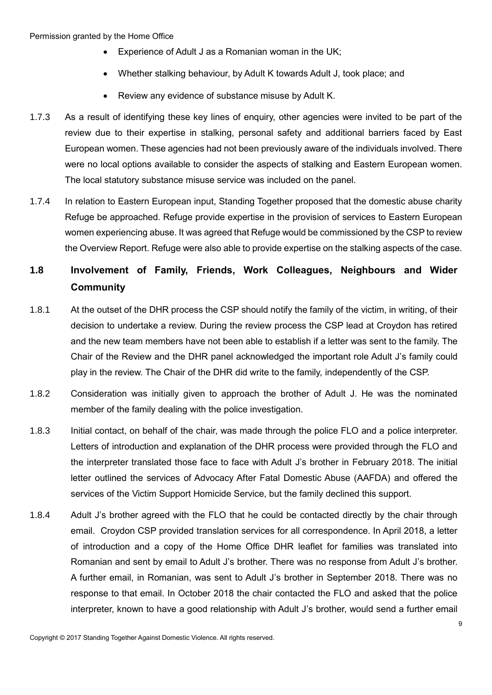- Experience of Adult J as a Romanian woman in the UK;
- Whether stalking behaviour, by Adult K towards Adult J, took place; and
- Review any evidence of substance misuse by Adult K.
- 1.7.3 As a result of identifying these key lines of enquiry, other agencies were invited to be part of the review due to their expertise in stalking, personal safety and additional barriers faced by East European women. These agencies had not been previously aware of the individuals involved. There were no local options available to consider the aspects of stalking and Eastern European women. The local statutory substance misuse service was included on the panel.
- 1.7.4 In relation to Eastern European input, Standing Together proposed that the domestic abuse charity Refuge be approached. Refuge provide expertise in the provision of services to Eastern European women experiencing abuse. It was agreed that Refuge would be commissioned by the CSP to review the Overview Report. Refuge were also able to provide expertise on the stalking aspects of the case.

### **1.8 Involvement of Family, Friends, Work Colleagues, Neighbours and Wider Community**

- 1.8.1 At the outset of the DHR process the CSP should notify the family of the victim, in writing, of their decision to undertake a review. During the review process the CSP lead at Croydon has retired and the new team members have not been able to establish if a letter was sent to the family. The Chair of the Review and the DHR panel acknowledged the important role Adult J's family could play in the review. The Chair of the DHR did write to the family, independently of the CSP.
- 1.8.2 Consideration was initially given to approach the brother of Adult J. He was the nominated member of the family dealing with the police investigation.
- 1.8.3 Initial contact, on behalf of the chair, was made through the police FLO and a police interpreter. Letters of introduction and explanation of the DHR process were provided through the FLO and the interpreter translated those face to face with Adult J's brother in February 2018. The initial letter outlined the services of Advocacy After Fatal Domestic Abuse (AAFDA) and offered the services of the Victim Support Homicide Service, but the family declined this support.
- 1.8.4 Adult J's brother agreed with the FLO that he could be contacted directly by the chair through email. Croydon CSP provided translation services for all correspondence. In April 2018, a letter of introduction and a copy of the Home Office DHR leaflet for families was translated into Romanian and sent by email to Adult J's brother. There was no response from Adult J's brother. A further email, in Romanian, was sent to Adult J's brother in September 2018. There was no response to that email. In October 2018 the chair contacted the FLO and asked that the police interpreter, known to have a good relationship with Adult J's brother, would send a further email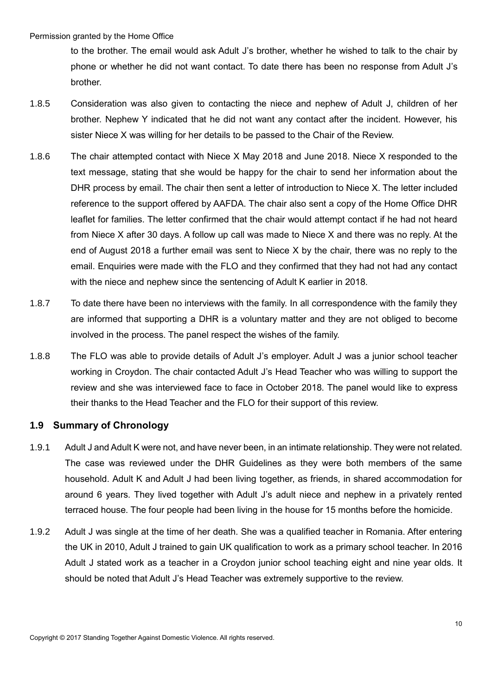to the brother. The email would ask Adult J's brother, whether he wished to talk to the chair by phone or whether he did not want contact. To date there has been no response from Adult J's brother.

- 1.8.5 Consideration was also given to contacting the niece and nephew of Adult J, children of her brother. Nephew Y indicated that he did not want any contact after the incident. However, his sister Niece X was willing for her details to be passed to the Chair of the Review.
- 1.8.6 The chair attempted contact with Niece X May 2018 and June 2018. Niece X responded to the text message, stating that she would be happy for the chair to send her information about the DHR process by email. The chair then sent a letter of introduction to Niece X. The letter included reference to the support offered by AAFDA. The chair also sent a copy of the Home Office DHR leaflet for families. The letter confirmed that the chair would attempt contact if he had not heard from Niece X after 30 days. A follow up call was made to Niece X and there was no reply. At the end of August 2018 a further email was sent to Niece X by the chair, there was no reply to the email. Enquiries were made with the FLO and they confirmed that they had not had any contact with the niece and nephew since the sentencing of Adult K earlier in 2018.
- 1.8.7 To date there have been no interviews with the family. In all correspondence with the family they are informed that supporting a DHR is a voluntary matter and they are not obliged to become involved in the process. The panel respect the wishes of the family.
- 1.8.8 The FLO was able to provide details of Adult J's employer. Adult J was a junior school teacher working in Croydon. The chair contacted Adult J's Head Teacher who was willing to support the review and she was interviewed face to face in October 2018. The panel would like to express their thanks to the Head Teacher and the FLO for their support of this review.

### <span id="page-9-0"></span>**1.9 Summary of Chronology**

- 1.9.1 Adult J and Adult K were not, and have never been, in an intimate relationship. They were not related. The case was reviewed under the DHR Guidelines as they were both members of the same household. Adult K and Adult J had been living together, as friends, in shared accommodation for around 6 years. They lived together with Adult J's adult niece and nephew in a privately rented terraced house. The four people had been living in the house for 15 months before the homicide.
- 1.9.2 Adult J was single at the time of her death. She was a qualified teacher in Romania. After entering the UK in 2010, Adult J trained to gain UK qualification to work as a primary school teacher. In 2016 Adult J stated work as a teacher in a Croydon junior school teaching eight and nine year olds. It should be noted that Adult J's Head Teacher was extremely supportive to the review.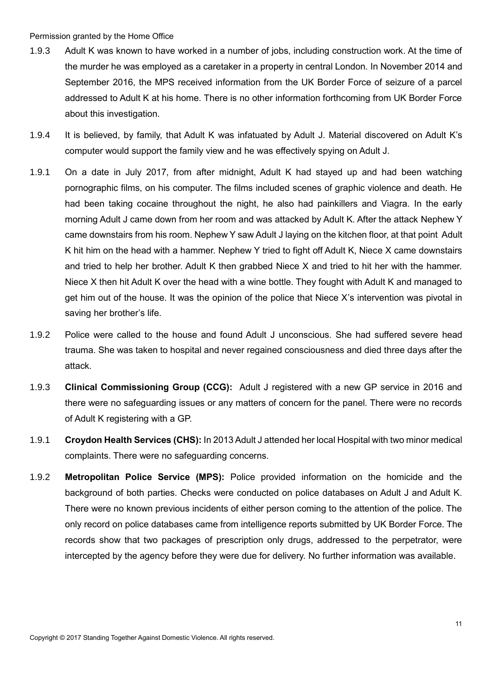- 1.9.3 Adult K was known to have worked in a number of jobs, including construction work. At the time of the murder he was employed as a caretaker in a property in central London. In November 2014 and September 2016, the MPS received information from the UK Border Force of seizure of a parcel addressed to Adult K at his home. There is no other information forthcoming from UK Border Force about this investigation.
- 1.9.4 It is believed, by family, that Adult K was infatuated by Adult J. Material discovered on Adult K's computer would support the family view and he was effectively spying on Adult J.
- 1.9.1 On a date in July 2017, from after midnight, Adult K had stayed up and had been watching pornographic films, on his computer. The films included scenes of graphic violence and death. He had been taking cocaine throughout the night, he also had painkillers and Viagra. In the early morning Adult J came down from her room and was attacked by Adult K. After the attack Nephew Y came downstairs from his room. Nephew Y saw Adult J laying on the kitchen floor, at that point Adult K hit him on the head with a hammer. Nephew Y tried to fight off Adult K, Niece X came downstairs and tried to help her brother. Adult K then grabbed Niece X and tried to hit her with the hammer. Niece X then hit Adult K over the head with a wine bottle. They fought with Adult K and managed to get him out of the house. It was the opinion of the police that Niece X's intervention was pivotal in saving her brother's life.
- 1.9.2 Police were called to the house and found Adult J unconscious. She had suffered severe head trauma. She was taken to hospital and never regained consciousness and died three days after the attack.
- 1.9.3 **Clinical Commissioning Group (CCG):** Adult J registered with a new GP service in 2016 and there were no safeguarding issues or any matters of concern for the panel. There were no records of Adult K registering with a GP.
- 1.9.1 **Croydon Health Services (CHS):** In 2013 Adult J attended her local Hospital with two minor medical complaints. There were no safeguarding concerns.
- 1.9.2 **Metropolitan Police Service (MPS):** Police provided information on the homicide and the background of both parties. Checks were conducted on police databases on Adult J and Adult K. There were no known previous incidents of either person coming to the attention of the police. The only record on police databases came from intelligence reports submitted by UK Border Force. The records show that two packages of prescription only drugs, addressed to the perpetrator, were intercepted by the agency before they were due for delivery. No further information was available.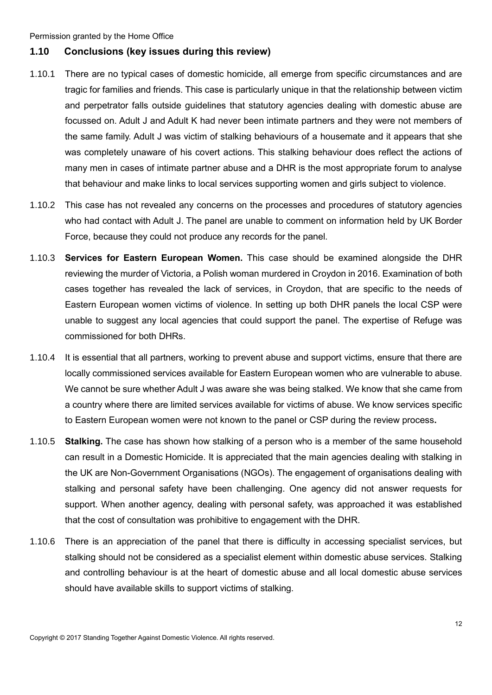### <span id="page-11-0"></span>**1.10 Conclusions (key issues during this review)**

- 1.10.1 There are no typical cases of domestic homicide, all emerge from specific circumstances and are tragic for families and friends. This case is particularly unique in that the relationship between victim and perpetrator falls outside guidelines that statutory agencies dealing with domestic abuse are focussed on. Adult J and Adult K had never been intimate partners and they were not members of the same family. Adult J was victim of stalking behaviours of a housemate and it appears that she was completely unaware of his covert actions. This stalking behaviour does reflect the actions of many men in cases of intimate partner abuse and a DHR is the most appropriate forum to analyse that behaviour and make links to local services supporting women and girls subject to violence.
- 1.10.2 This case has not revealed any concerns on the processes and procedures of statutory agencies who had contact with Adult J. The panel are unable to comment on information held by UK Border Force, because they could not produce any records for the panel.
- 1.10.3 **Services for Eastern European Women.** This case should be examined alongside the DHR reviewing the murder of Victoria, a Polish woman murdered in Croydon in 2016. Examination of both cases together has revealed the lack of services, in Croydon, that are specific to the needs of Eastern European women victims of violence. In setting up both DHR panels the local CSP were unable to suggest any local agencies that could support the panel. The expertise of Refuge was commissioned for both DHRs.
- 1.10.4 It is essential that all partners, working to prevent abuse and support victims, ensure that there are locally commissioned services available for Eastern European women who are vulnerable to abuse. We cannot be sure whether Adult J was aware she was being stalked. We know that she came from a country where there are limited services available for victims of abuse. We know services specific to Eastern European women were not known to the panel or CSP during the review process**.**
- 1.10.5 **Stalking.** The case has shown how stalking of a person who is a member of the same household can result in a Domestic Homicide. It is appreciated that the main agencies dealing with stalking in the UK are Non-Government Organisations (NGOs). The engagement of organisations dealing with stalking and personal safety have been challenging. One agency did not answer requests for support. When another agency, dealing with personal safety, was approached it was established that the cost of consultation was prohibitive to engagement with the DHR.
- 1.10.6 There is an appreciation of the panel that there is difficulty in accessing specialist services, but stalking should not be considered as a specialist element within domestic abuse services. Stalking and controlling behaviour is at the heart of domestic abuse and all local domestic abuse services should have available skills to support victims of stalking.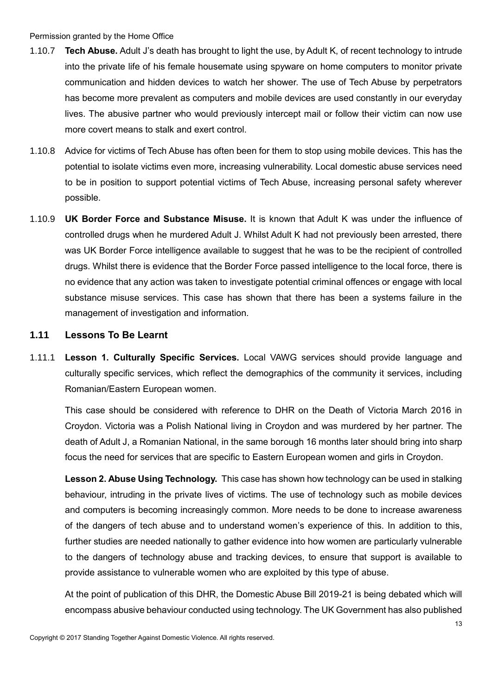- 1.10.7 **Tech Abuse.** Adult J's death has brought to light the use, by Adult K, of recent technology to intrude into the private life of his female housemate using spyware on home computers to monitor private communication and hidden devices to watch her shower. The use of Tech Abuse by perpetrators has become more prevalent as computers and mobile devices are used constantly in our everyday lives. The abusive partner who would previously intercept mail or follow their victim can now use more covert means to stalk and exert control.
- 1.10.8 Advice for victims of Tech Abuse has often been for them to stop using mobile devices. This has the potential to isolate victims even more, increasing vulnerability. Local domestic abuse services need to be in position to support potential victims of Tech Abuse, increasing personal safety wherever possible.
- 1.10.9 **UK Border Force and Substance Misuse.** It is known that Adult K was under the influence of controlled drugs when he murdered Adult J. Whilst Adult K had not previously been arrested, there was UK Border Force intelligence available to suggest that he was to be the recipient of controlled drugs. Whilst there is evidence that the Border Force passed intelligence to the local force, there is no evidence that any action was taken to investigate potential criminal offences or engage with local substance misuse services. This case has shown that there has been a systems failure in the management of investigation and information.

### <span id="page-12-0"></span>**1.11 Lessons To Be Learnt**

1.11.1 **Lesson 1. Culturally Specific Services.** Local VAWG services should provide language and culturally specific services, which reflect the demographics of the community it services, including Romanian/Eastern European women.

This case should be considered with reference to DHR on the Death of Victoria March 2016 in Croydon. Victoria was a Polish National living in Croydon and was murdered by her partner. The death of Adult J, a Romanian National, in the same borough 16 months later should bring into sharp focus the need for services that are specific to Eastern European women and girls in Croydon.

**Lesson 2. Abuse Using Technology.** This case has shown how technology can be used in stalking behaviour, intruding in the private lives of victims. The use of technology such as mobile devices and computers is becoming increasingly common. More needs to be done to increase awareness of the dangers of tech abuse and to understand women's experience of this. In addition to this, further studies are needed nationally to gather evidence into how women are particularly vulnerable to the dangers of technology abuse and tracking devices, to ensure that support is available to provide assistance to vulnerable women who are exploited by this type of abuse.

At the point of publication of this DHR, the Domestic Abuse Bill 2019-21 is being debated which will encompass abusive behaviour conducted using technology. The UK Government has also published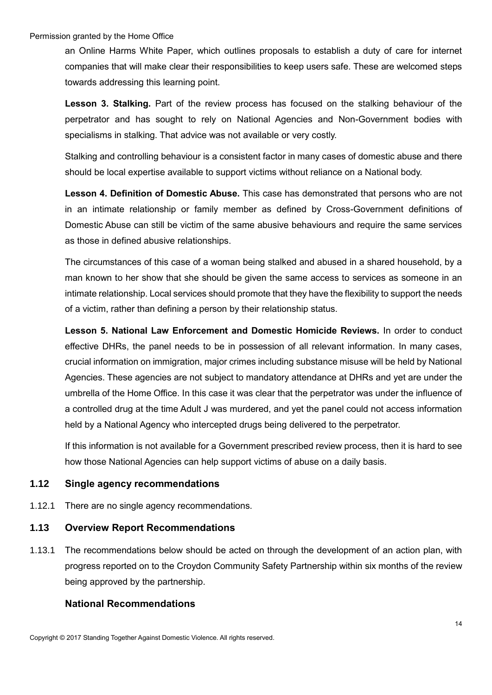an Online Harms White Paper, which outlines proposals to establish a duty of care for internet companies that will make clear their responsibilities to keep users safe. These are welcomed steps towards addressing this learning point.

**Lesson 3. Stalking.** Part of the review process has focused on the stalking behaviour of the perpetrator and has sought to rely on National Agencies and Non-Government bodies with specialisms in stalking. That advice was not available or very costly.

Stalking and controlling behaviour is a consistent factor in many cases of domestic abuse and there should be local expertise available to support victims without reliance on a National body.

**Lesson 4. Definition of Domestic Abuse.** This case has demonstrated that persons who are not in an intimate relationship or family member as defined by Cross-Government definitions of Domestic Abuse can still be victim of the same abusive behaviours and require the same services as those in defined abusive relationships.

The circumstances of this case of a woman being stalked and abused in a shared household, by a man known to her show that she should be given the same access to services as someone in an intimate relationship. Local services should promote that they have the flexibility to support the needs of a victim, rather than defining a person by their relationship status.

**Lesson 5. National Law Enforcement and Domestic Homicide Reviews.** In order to conduct effective DHRs, the panel needs to be in possession of all relevant information. In many cases, crucial information on immigration, major crimes including substance misuse will be held by National Agencies. These agencies are not subject to mandatory attendance at DHRs and yet are under the umbrella of the Home Office. In this case it was clear that the perpetrator was under the influence of a controlled drug at the time Adult J was murdered, and yet the panel could not access information held by a National Agency who intercepted drugs being delivered to the perpetrator.

If this information is not available for a Government prescribed review process, then it is hard to see how those National Agencies can help support victims of abuse on a daily basis.

### <span id="page-13-0"></span>**1.12 Single agency recommendations**

1.12.1 There are no single agency recommendations.

### <span id="page-13-1"></span>**1.13 Overview Report Recommendations**

1.13.1 The recommendations below should be acted on through the development of an action plan, with progress reported on to the Croydon Community Safety Partnership within six months of the review being approved by the partnership.

### **National Recommendations**